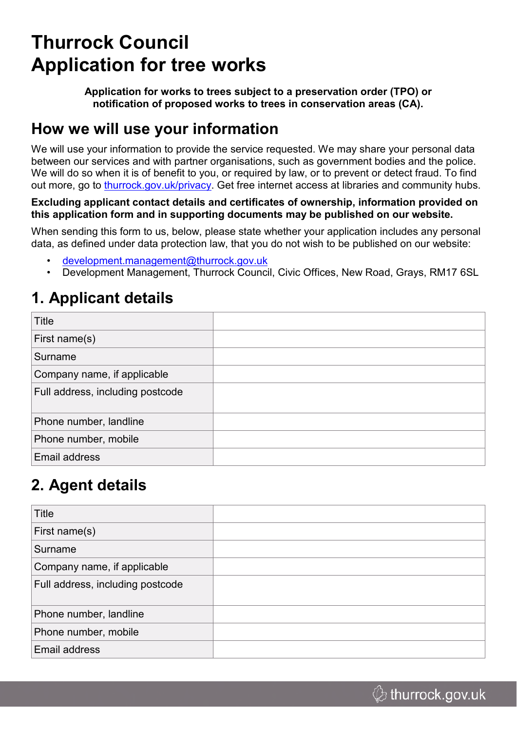# **Thurrock Council Application for tree works**

**Application for works to trees subject to a preservation order (TPO) or notification of proposed works to trees in conservation areas (CA).**

### **How we will use your information**

We will use your information to provide the service requested. We may share your personal data between our services and with partner organisations, such as government bodies and the police. We will do so when it is of benefit to you, or required by law, or to prevent or detect fraud. To find out more, go to [thurrock.gov.uk/privacy](https://www.thurrock.gov.uk/privacy). Get free internet access at libraries and community hubs.

#### **Excluding applicant contact details and certificates of ownership, information provided on this application form and in supporting documents may be published on our website.**

When sending this form to us, below, please state whether your application includes any personal data, as defined under data protection law, that you do not wish to be published on our website:

- [development.management@thurrock.gov.uk](mailto:development.management@thurrock.gov.uk)
- Development Management, Thurrock Council, Civic Offices, New Road, Grays, RM17 6SL

#### **1. Applicant details**

| Title                            |  |
|----------------------------------|--|
| First name(s)                    |  |
| Surname                          |  |
| Company name, if applicable      |  |
| Full address, including postcode |  |
| Phone number, landline           |  |
| Phone number, mobile             |  |
| Email address                    |  |

# **2. Agent details**

| Title                            |  |
|----------------------------------|--|
| First name(s)                    |  |
| Surname                          |  |
| Company name, if applicable      |  |
| Full address, including postcode |  |
| Phone number, landline           |  |
| Phone number, mobile             |  |
| Email address                    |  |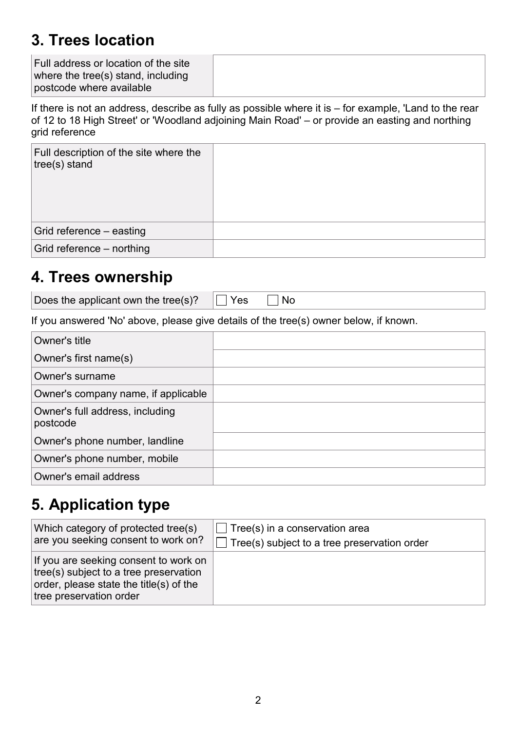#### **3. Trees location**

| Full address or location of the site |  |
|--------------------------------------|--|
| where the tree(s) stand, including   |  |
| postcode where available             |  |

If there is not an address, describe as fully as possible where it is – for example, 'Land to the rear of 12 to 18 High Street' or 'Woodland adjoining Main Road' – or provide an easting and northing grid reference

| Full description of the site where the<br>$ tree(s)$ stand |  |
|------------------------------------------------------------|--|
| Grid reference – easting                                   |  |
| Grid reference - northing                                  |  |

#### **4. Trees ownership**

Does the applicant own the tree(s)?  $\Box$  Yes  $\Box$  No

If you answered 'No' above, please give details of the tree(s) owner below, if known.

| Owner's title                               |  |
|---------------------------------------------|--|
| Owner's first name(s)                       |  |
| Owner's surname                             |  |
| Owner's company name, if applicable         |  |
| Owner's full address, including<br>postcode |  |
| Owner's phone number, landline              |  |
| Owner's phone number, mobile                |  |
| Owner's email address                       |  |

### **5. Application type**

| Which category of protected tree(s)                                                                                                                           | $\Box$ Tree(s) in a conservation area               |
|---------------------------------------------------------------------------------------------------------------------------------------------------------------|-----------------------------------------------------|
| are you seeking consent to work on?                                                                                                                           | $\Box$ Tree(s) subject to a tree preservation order |
| If you are seeking consent to work on<br>tree(s) subject to a tree preservation<br>$\vert$ order, please state the title(s) of the<br>tree preservation order |                                                     |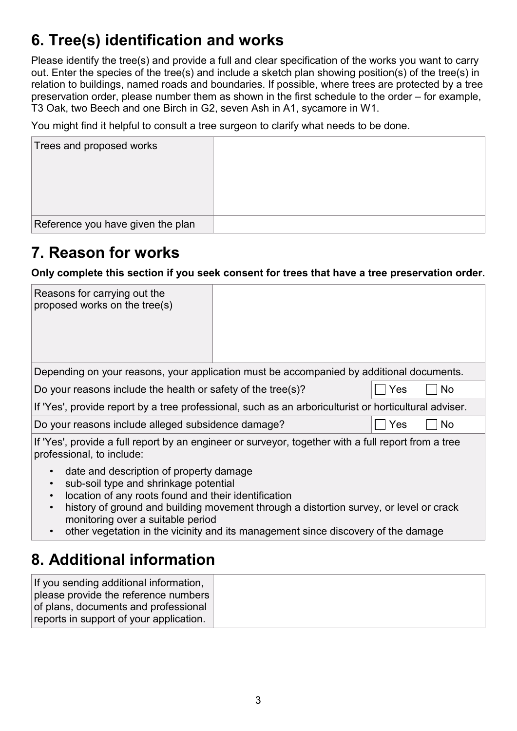# **6. Tree(s) identification and works**

Please identify the tree(s) and provide a full and clear specification of the works you want to carry out. Enter the species of the tree(s) and include a sketch plan showing position(s) of the tree(s) in relation to buildings, named roads and boundaries. If possible, where trees are protected by a tree preservation order, please number them as shown in the first schedule to the order – for example, T3 Oak, two Beech and one Birch in G2, seven Ash in A1, sycamore in W1.

You might find it helpful to consult a tree surgeon to clarify what needs to be done.

| Trees and proposed works          |  |
|-----------------------------------|--|
|                                   |  |
| Reference you have given the plan |  |

### **7. Reason for works**

**Only complete this section if you seek consent for trees that have a tree preservation order.**

| Reasons for carrying out the<br>proposed works on the tree(s)                                                                                                                                                                                                                                                                                                                                                                                                                                                                                                     |  |     |    |
|-------------------------------------------------------------------------------------------------------------------------------------------------------------------------------------------------------------------------------------------------------------------------------------------------------------------------------------------------------------------------------------------------------------------------------------------------------------------------------------------------------------------------------------------------------------------|--|-----|----|
| Depending on your reasons, your application must be accompanied by additional documents.                                                                                                                                                                                                                                                                                                                                                                                                                                                                          |  |     |    |
| Do your reasons include the health or safety of the tree(s)?                                                                                                                                                                                                                                                                                                                                                                                                                                                                                                      |  | Yes | No |
| If 'Yes', provide report by a tree professional, such as an arboriculturist or horticultural adviser.                                                                                                                                                                                                                                                                                                                                                                                                                                                             |  |     |    |
| No<br>Do your reasons include alleged subsidence damage?<br>Yes                                                                                                                                                                                                                                                                                                                                                                                                                                                                                                   |  |     |    |
| If 'Yes', provide a full report by an engineer or surveyor, together with a full report from a tree<br>professional, to include:<br>date and description of property damage<br>$\bullet$<br>sub-soil type and shrinkage potential<br>$\bullet$<br>location of any roots found and their identification<br>$\bullet$<br>history of ground and building movement through a distortion survey, or level or crack<br>$\bullet$<br>monitoring over a suitable period<br>other vegetation in the vicinity and its management since discovery of the damage<br>$\bullet$ |  |     |    |
| 8. Additional information                                                                                                                                                                                                                                                                                                                                                                                                                                                                                                                                         |  |     |    |

#### If you sending additional information, please provide the reference numbers of plans, documents and professional reports in support of your application.